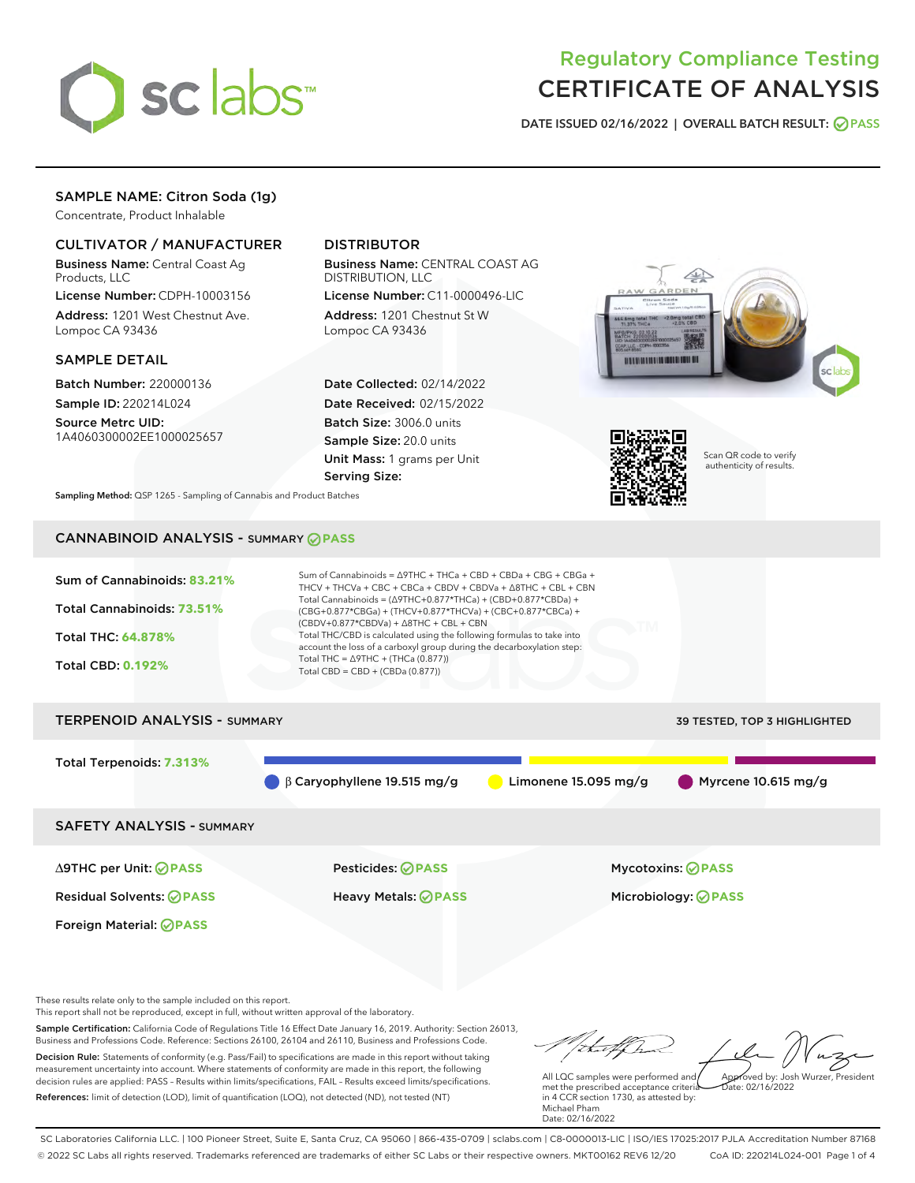

# Regulatory Compliance Testing CERTIFICATE OF ANALYSIS

DATE ISSUED 02/16/2022 | OVERALL BATCH RESULT: @ PASS

# SAMPLE NAME: Citron Soda (1g)

Concentrate, Product Inhalable

# CULTIVATOR / MANUFACTURER

Business Name: Central Coast Ag Products, LLC

License Number: CDPH-10003156 Address: 1201 West Chestnut Ave. Lompoc CA 93436

## SAMPLE DETAIL

Batch Number: 220000136 Sample ID: 220214L024

Source Metrc UID: 1A4060300002EE1000025657

# DISTRIBUTOR

Business Name: CENTRAL COAST AG DISTRIBUTION, LLC

License Number: C11-0000496-LIC Address: 1201 Chestnut St W Lompoc CA 93436

Date Collected: 02/14/2022 Date Received: 02/15/2022 Batch Size: 3006.0 units Sample Size: 20.0 units Unit Mass: 1 grams per Unit Serving Size:





Scan QR code to verify authenticity of results.

Sampling Method: QSP 1265 - Sampling of Cannabis and Product Batches

# CANNABINOID ANALYSIS - SUMMARY **PASS**



These results relate only to the sample included on this report.

This report shall not be reproduced, except in full, without written approval of the laboratory.

Sample Certification: California Code of Regulations Title 16 Effect Date January 16, 2019. Authority: Section 26013, Business and Professions Code. Reference: Sections 26100, 26104 and 26110, Business and Professions Code. Decision Rule: Statements of conformity (e.g. Pass/Fail) to specifications are made in this report without taking measurement uncertainty into account. Where statements of conformity are made in this report, the following decision rules are applied: PASS – Results within limits/specifications, FAIL – Results exceed limits/specifications.

References: limit of detection (LOD), limit of quantification (LOQ), not detected (ND), not tested (NT)

Approved by: Josh Wurzer, President

 $ate: 02/16/2022$ 

All LQC samples were performed and met the prescribed acceptance criteria in 4 CCR section 1730, as attested by: Michael Pham Date: 02/16/2022

SC Laboratories California LLC. | 100 Pioneer Street, Suite E, Santa Cruz, CA 95060 | 866-435-0709 | sclabs.com | C8-0000013-LIC | ISO/IES 17025:2017 PJLA Accreditation Number 87168 © 2022 SC Labs all rights reserved. Trademarks referenced are trademarks of either SC Labs or their respective owners. MKT00162 REV6 12/20 CoA ID: 220214L024-001 Page 1 of 4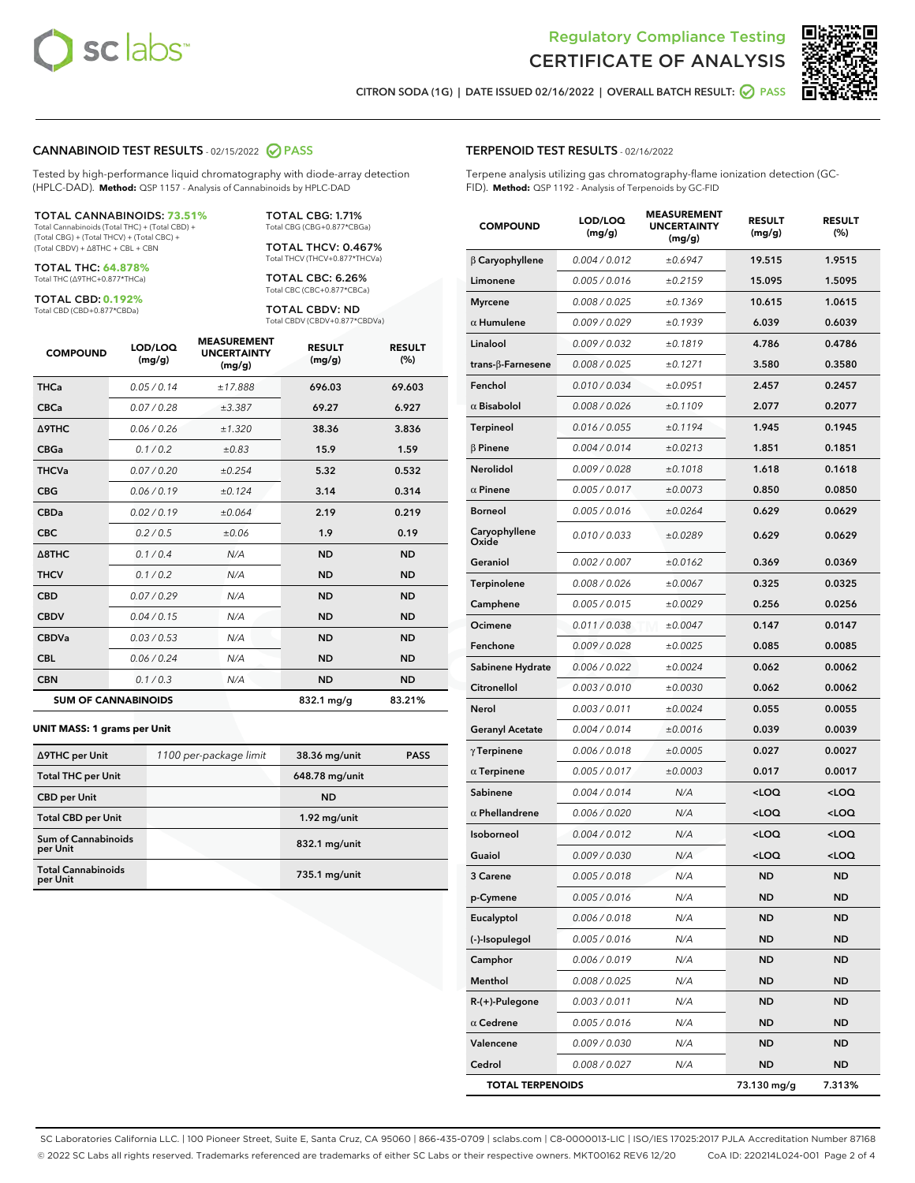



CITRON SODA (1G) | DATE ISSUED 02/16/2022 | OVERALL BATCH RESULT: @ PASS

#### CANNABINOID TEST RESULTS - 02/15/2022 2 PASS

Tested by high-performance liquid chromatography with diode-array detection (HPLC-DAD). **Method:** QSP 1157 - Analysis of Cannabinoids by HPLC-DAD

#### TOTAL CANNABINOIDS: **73.51%**

Total Cannabinoids (Total THC) + (Total CBD) + (Total CBG) + (Total THCV) + (Total CBC) + (Total CBDV) + ∆8THC + CBL + CBN

TOTAL THC: **64.878%** Total THC (∆9THC+0.877\*THCa)

TOTAL CBD: **0.192%**

Total CBD (CBD+0.877\*CBDa)

TOTAL CBG: 1.71% Total CBG (CBG+0.877\*CBGa)

TOTAL THCV: 0.467% Total THCV (THCV+0.877\*THCVa)

TOTAL CBC: 6.26% Total CBC (CBC+0.877\*CBCa)

TOTAL CBDV: ND Total CBDV (CBDV+0.877\*CBDVa)

| <b>COMPOUND</b>            | LOD/LOQ<br>(mg/g) | <b>MEASUREMENT</b><br><b>UNCERTAINTY</b><br>(mg/g) | <b>RESULT</b><br>(mg/g) | <b>RESULT</b><br>(%) |
|----------------------------|-------------------|----------------------------------------------------|-------------------------|----------------------|
| <b>THCa</b>                | 0.05/0.14         | ±17.888                                            | 696.03                  | 69.603               |
| <b>CBCa</b>                | 0.07 / 0.28       | ±3.387                                             | 69.27                   | 6.927                |
| <b>A9THC</b>               | 0.06 / 0.26       | ±1.320                                             | 38.36                   | 3.836                |
| <b>CBGa</b>                | 0.1/0.2           | ±0.83                                              | 15.9                    | 1.59                 |
| <b>THCVa</b>               | 0.07/0.20         | ±0.254                                             | 5.32                    | 0.532                |
| <b>CBG</b>                 | 0.06/0.19         | ±0.124                                             | 3.14                    | 0.314                |
| <b>CBDa</b>                | 0.02/0.19         | ±0.064                                             | 2.19                    | 0.219                |
| <b>CBC</b>                 | 0.2 / 0.5         | ±0.06                                              | 1.9                     | 0.19                 |
| A8THC                      | 0.1 / 0.4         | N/A                                                | <b>ND</b>               | <b>ND</b>            |
| <b>THCV</b>                | 0.1 / 0.2         | N/A                                                | <b>ND</b>               | <b>ND</b>            |
| <b>CBD</b>                 | 0.07/0.29         | N/A                                                | <b>ND</b>               | <b>ND</b>            |
| <b>CBDV</b>                | 0.04 / 0.15       | N/A                                                | <b>ND</b>               | <b>ND</b>            |
| <b>CBDVa</b>               | 0.03 / 0.53       | N/A                                                | <b>ND</b>               | <b>ND</b>            |
| <b>CBL</b>                 | 0.06 / 0.24       | N/A                                                | <b>ND</b>               | <b>ND</b>            |
| <b>CBN</b>                 | 0.1/0.3           | N/A                                                | <b>ND</b>               | <b>ND</b>            |
| <b>SUM OF CANNABINOIDS</b> |                   |                                                    | 832.1 mg/g              | 83.21%               |

#### **UNIT MASS: 1 grams per Unit**

| ∆9THC per Unit                        | 1100 per-package limit | 38.36 mg/unit  | <b>PASS</b> |
|---------------------------------------|------------------------|----------------|-------------|
| <b>Total THC per Unit</b>             |                        | 648.78 mg/unit |             |
| <b>CBD per Unit</b>                   |                        | <b>ND</b>      |             |
| <b>Total CBD per Unit</b>             |                        | $1.92$ mg/unit |             |
| Sum of Cannabinoids<br>per Unit       |                        | 832.1 mg/unit  |             |
| <b>Total Cannabinoids</b><br>per Unit |                        | 735.1 mg/unit  |             |

| <b>COMPOUND</b>        | <b>LOD/LOQ</b><br>(mg/g) | <b>UNCERTAINTY</b><br>(mg/g) | <b>RESULT</b><br>(mg/g)                         | <b>RESULT</b><br>$(\%)$ |
|------------------------|--------------------------|------------------------------|-------------------------------------------------|-------------------------|
| $\beta$ Caryophyllene  | 0.004 / 0.012            | ±0.6947                      | 19.515                                          | 1.9515                  |
| Limonene               | 0.005 / 0.016            | ±0.2159                      | 15.095                                          | 1.5095                  |
| <b>Myrcene</b>         | 0.008 / 0.025            | ±0.1369                      | 10.615                                          | 1.0615                  |
| $\alpha$ Humulene      | 0.009/0.029              | ±0.1939                      | 6.039                                           | 0.6039                  |
| Linalool               | 0.009 / 0.032            | ±0.1819                      | 4.786                                           | 0.4786                  |
| trans-β-Farnesene      | 0.008 / 0.025            | ±0.1271                      | 3.580                                           | 0.3580                  |
| Fenchol                | 0.010 / 0.034            | ±0.0951                      | 2.457                                           | 0.2457                  |
| $\alpha$ Bisabolol     | 0.008 / 0.026            | ±0.1109                      | 2.077                                           | 0.2077                  |
| Terpineol              | 0.016 / 0.055            | ±0.1194                      | 1.945                                           | 0.1945                  |
| $\beta$ Pinene         | 0.004 / 0.014            | ±0.0213                      | 1.851                                           | 0.1851                  |
| Nerolidol              | 0.009 / 0.028            | ±0.1018                      | 1.618                                           | 0.1618                  |
| $\alpha$ Pinene        | 0.005 / 0.017            | ±0.0073                      | 0.850                                           | 0.0850                  |
| <b>Borneol</b>         | 0.005 / 0.016            | ±0.0264                      | 0.629                                           | 0.0629                  |
| Caryophyllene<br>Oxide | 0.010 / 0.033            | ±0.0289                      | 0.629                                           | 0.0629                  |
| Geraniol               | 0.002 / 0.007            | ±0.0162                      | 0.369                                           | 0.0369                  |
| Terpinolene            | 0.008 / 0.026            | ±0.0067                      | 0.325                                           | 0.0325                  |
| Camphene               | 0.005 / 0.015            | ±0.0029                      | 0.256                                           | 0.0256                  |
| Ocimene                | 0.011 / 0.038            | ±0.0047                      | 0.147                                           | 0.0147                  |
| Fenchone               | 0.009 / 0.028            | ±0.0025                      | 0.085                                           | 0.0085                  |
| Sabinene Hydrate       | 0.006 / 0.022            | ±0.0024                      | 0.062                                           | 0.0062                  |
| Citronellol            | 0.003 / 0.010            | ±0.0030                      | 0.062                                           | 0.0062                  |
| Nerol                  | 0.003 / 0.011            | ±0.0024                      | 0.055                                           | 0.0055                  |
| Geranyl Acetate        | 0.004 / 0.014            | ±0.0016                      | 0.039                                           | 0.0039                  |
| $\gamma$ Terpinene     | 0.006 / 0.018            | ±0.0005                      | 0.027                                           | 0.0027                  |
| $\alpha$ Terpinene     | 0.005 / 0.017            | ±0.0003                      | 0.017                                           | 0.0017                  |
| Sabinene               | 0.004 / 0.014            | N/A                          | <loq< th=""><th><loq< th=""></loq<></th></loq<> | <loq< th=""></loq<>     |
| $\alpha$ Phellandrene  | 0.006 / 0.020            | N/A                          | <loq< th=""><th><loq< th=""></loq<></th></loq<> | <loq< th=""></loq<>     |
| Isoborneol             | 0.004 / 0.012            | N/A                          | <loq< th=""><th><loq< th=""></loq<></th></loq<> | <loq< th=""></loq<>     |
| Guaiol                 | 0.009 / 0.030            | N/A                          | <loq< th=""><th><loq< th=""></loq<></th></loq<> | <loq< th=""></loq<>     |
| 3 Carene               | 0.005 / 0.018            | N/A                          | <b>ND</b>                                       | <b>ND</b>               |
| p-Cymene               | 0.005 / 0.016            | N/A                          | ND                                              | ND                      |
| Eucalyptol             | 0.006 / 0.018            | N/A                          | ND                                              | <b>ND</b>               |
| (-)-Isopulegol         | 0.005 / 0.016            | N/A                          | <b>ND</b>                                       | <b>ND</b>               |
| Camphor                | 0.006 / 0.019            | N/A                          | <b>ND</b>                                       | <b>ND</b>               |
| Menthol                | 0.008 / 0.025            | N/A                          | ND                                              | ND                      |
| R-(+)-Pulegone         | 0.003 / 0.011            | N/A                          | ND                                              | ND                      |
| $\alpha$ Cedrene       | 0.005 / 0.016            | N/A                          | <b>ND</b>                                       | <b>ND</b>               |
| Valencene              | 0.009 / 0.030            | N/A                          | ND                                              | ND                      |
| Cedrol                 | 0.008 / 0.027            | N/A                          | <b>ND</b>                                       | <b>ND</b>               |

TOTAL TERPENOIDS 73.130 mg/g 7.313%

SC Laboratories California LLC. | 100 Pioneer Street, Suite E, Santa Cruz, CA 95060 | 866-435-0709 | sclabs.com | C8-0000013-LIC | ISO/IES 17025:2017 PJLA Accreditation Number 87168 © 2022 SC Labs all rights reserved. Trademarks referenced are trademarks of either SC Labs or their respective owners. MKT00162 REV6 12/20 CoA ID: 220214L024-001 Page 2 of 4

# TERPENOID TEST RESULTS - 02/16/2022

Terpene analysis utilizing gas chromatography-flame ionization detection (GC-FID). **Method:** QSP 1192 - Analysis of Terpenoids by GC-FID

MEASUREMENT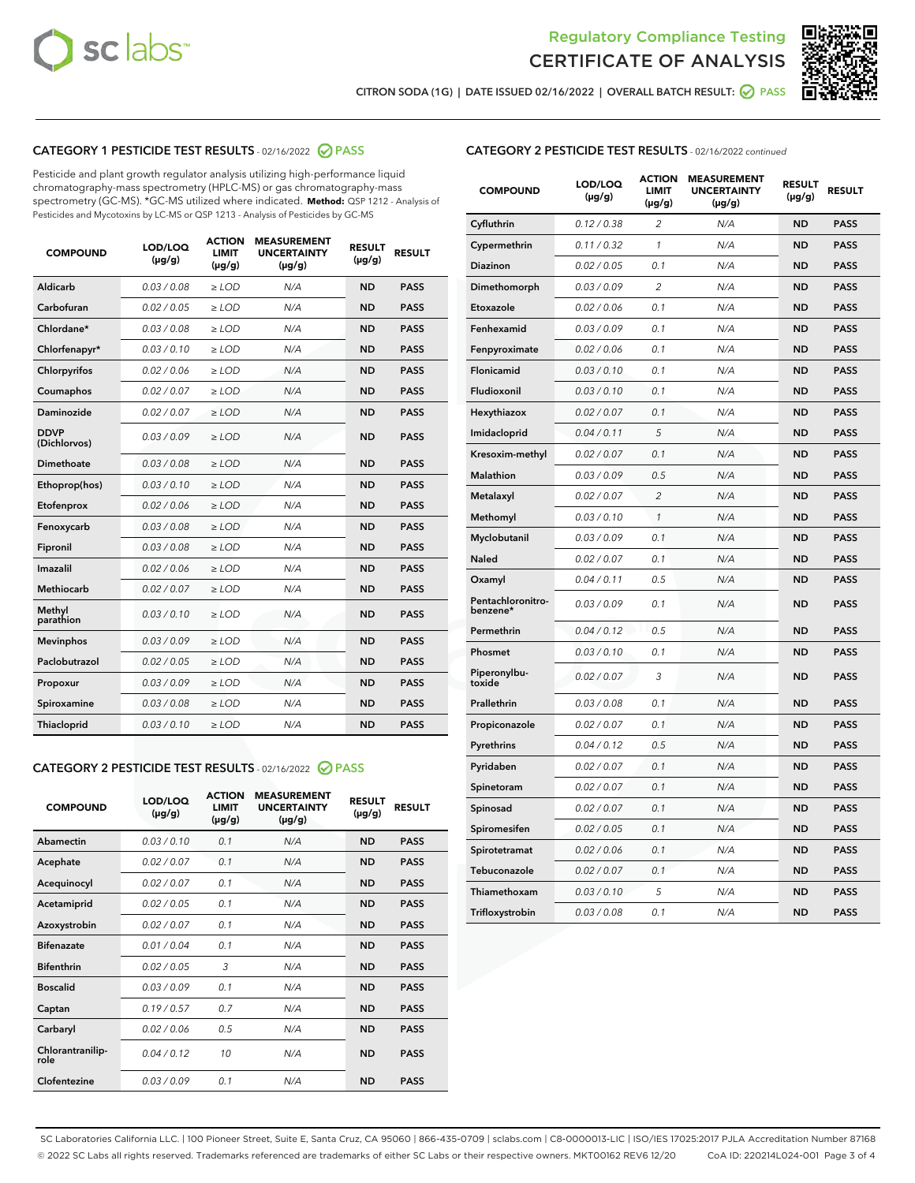



CITRON SODA (1G) | DATE ISSUED 02/16/2022 | OVERALL BATCH RESULT:  $\bigcirc$  PASS

# CATEGORY 1 PESTICIDE TEST RESULTS - 02/16/2022 2 PASS

Pesticide and plant growth regulator analysis utilizing high-performance liquid chromatography-mass spectrometry (HPLC-MS) or gas chromatography-mass spectrometry (GC-MS). \*GC-MS utilized where indicated. **Method:** QSP 1212 - Analysis of Pesticides and Mycotoxins by LC-MS or QSP 1213 - Analysis of Pesticides by GC-MS

| <b>COMPOUND</b>             | LOD/LOQ<br>$(\mu g/g)$ | <b>ACTION</b><br><b>LIMIT</b><br>$(\mu g/g)$ | <b>MEASUREMENT</b><br><b>UNCERTAINTY</b><br>$(\mu g/g)$ | <b>RESULT</b><br>$(\mu g/g)$ | <b>RESULT</b> |
|-----------------------------|------------------------|----------------------------------------------|---------------------------------------------------------|------------------------------|---------------|
| Aldicarb                    | 0.03 / 0.08            | $\ge$ LOD                                    | N/A                                                     | <b>ND</b>                    | <b>PASS</b>   |
| Carbofuran                  | 0.02 / 0.05            | $\ge$ LOD                                    | N/A                                                     | <b>ND</b>                    | <b>PASS</b>   |
| Chlordane*                  | 0.03 / 0.08            | $\ge$ LOD                                    | N/A                                                     | <b>ND</b>                    | <b>PASS</b>   |
| Chlorfenapyr*               | 0.03/0.10              | $\ge$ LOD                                    | N/A                                                     | <b>ND</b>                    | <b>PASS</b>   |
| Chlorpyrifos                | 0.02 / 0.06            | $\ge$ LOD                                    | N/A                                                     | <b>ND</b>                    | <b>PASS</b>   |
| Coumaphos                   | 0.02 / 0.07            | $\ge$ LOD                                    | N/A                                                     | <b>ND</b>                    | <b>PASS</b>   |
| Daminozide                  | 0.02 / 0.07            | $\ge$ LOD                                    | N/A                                                     | <b>ND</b>                    | <b>PASS</b>   |
| <b>DDVP</b><br>(Dichlorvos) | 0.03/0.09              | $\ge$ LOD                                    | N/A                                                     | <b>ND</b>                    | <b>PASS</b>   |
| Dimethoate                  | 0.03 / 0.08            | $\ge$ LOD                                    | N/A                                                     | <b>ND</b>                    | <b>PASS</b>   |
| Ethoprop(hos)               | 0.03/0.10              | $\ge$ LOD                                    | N/A                                                     | <b>ND</b>                    | <b>PASS</b>   |
| Etofenprox                  | 0.02/0.06              | $>$ LOD                                      | N/A                                                     | <b>ND</b>                    | <b>PASS</b>   |
| Fenoxycarb                  | 0.03 / 0.08            | $>$ LOD                                      | N/A                                                     | <b>ND</b>                    | <b>PASS</b>   |
| Fipronil                    | 0.03 / 0.08            | $>$ LOD                                      | N/A                                                     | <b>ND</b>                    | <b>PASS</b>   |
| Imazalil                    | 0.02 / 0.06            | $\ge$ LOD                                    | N/A                                                     | <b>ND</b>                    | <b>PASS</b>   |
| <b>Methiocarb</b>           | 0.02 / 0.07            | $\ge$ LOD                                    | N/A                                                     | <b>ND</b>                    | <b>PASS</b>   |
| Methyl<br>parathion         | 0.03/0.10              | $\ge$ LOD                                    | N/A                                                     | <b>ND</b>                    | <b>PASS</b>   |
| <b>Mevinphos</b>            | 0.03/0.09              | $\ge$ LOD                                    | N/A                                                     | <b>ND</b>                    | <b>PASS</b>   |
| Paclobutrazol               | 0.02 / 0.05            | $\ge$ LOD                                    | N/A                                                     | <b>ND</b>                    | <b>PASS</b>   |
| Propoxur                    | 0.03/0.09              | $\ge$ LOD                                    | N/A                                                     | <b>ND</b>                    | <b>PASS</b>   |
| Spiroxamine                 | 0.03 / 0.08            | $\ge$ LOD                                    | N/A                                                     | <b>ND</b>                    | <b>PASS</b>   |
| Thiacloprid                 | 0.03/0.10              | $\ge$ LOD                                    | N/A                                                     | <b>ND</b>                    | <b>PASS</b>   |

#### CATEGORY 2 PESTICIDE TEST RESULTS - 02/16/2022 2 PASS

| <b>COMPOUND</b>          | LOD/LOO<br>$(\mu g/g)$ | <b>ACTION</b><br>LIMIT<br>$(\mu g/g)$ | <b>MEASUREMENT</b><br><b>UNCERTAINTY</b><br>$(\mu g/g)$ | <b>RESULT</b><br>$(\mu g/g)$ | <b>RESULT</b> |  |
|--------------------------|------------------------|---------------------------------------|---------------------------------------------------------|------------------------------|---------------|--|
| Abamectin                | 0.03/0.10              | 0.1                                   | N/A                                                     | <b>ND</b>                    | <b>PASS</b>   |  |
| Acephate                 | 0.02/0.07              | 0.1                                   | N/A                                                     | <b>ND</b>                    | <b>PASS</b>   |  |
| Acequinocyl              | 0.02/0.07              | 0.1                                   | N/A                                                     | <b>ND</b>                    | <b>PASS</b>   |  |
| Acetamiprid              | 0.02 / 0.05            | 0.1                                   | N/A                                                     | <b>ND</b>                    | <b>PASS</b>   |  |
| Azoxystrobin             | 0.02/0.07              | 0.1                                   | N/A                                                     | <b>ND</b>                    | <b>PASS</b>   |  |
| <b>Bifenazate</b>        | 0.01 / 0.04            | 0.1                                   | N/A                                                     | <b>ND</b>                    | <b>PASS</b>   |  |
| <b>Bifenthrin</b>        | 0.02 / 0.05            | 3                                     | N/A                                                     | <b>ND</b>                    | <b>PASS</b>   |  |
| <b>Boscalid</b>          | 0.03/0.09              | 0.1                                   | N/A                                                     | <b>ND</b>                    | <b>PASS</b>   |  |
| Captan                   | 0.19/0.57              | 0.7                                   | N/A                                                     | <b>ND</b>                    | <b>PASS</b>   |  |
| Carbaryl                 | 0.02/0.06              | 0.5                                   | N/A                                                     | <b>ND</b>                    | <b>PASS</b>   |  |
| Chlorantranilip-<br>role | 0.04/0.12              | 10                                    | N/A                                                     | <b>ND</b>                    | <b>PASS</b>   |  |
| Clofentezine             | 0.03/0.09              | 0.1                                   | N/A                                                     | <b>ND</b>                    | <b>PASS</b>   |  |

| <b>CATEGORY 2 PESTICIDE TEST RESULTS</b> - 02/16/2022 continued |
|-----------------------------------------------------------------|
|-----------------------------------------------------------------|

| <b>COMPOUND</b>               | LOD/LOQ<br>$(\mu g/g)$ | <b>ACTION</b><br>LIMIT<br>(µg/g) | <b>MEASUREMENT</b><br><b>UNCERTAINTY</b><br>(µg/g) | <b>RESULT</b><br>$(\mu g/g)$ | <b>RESULT</b> |
|-------------------------------|------------------------|----------------------------------|----------------------------------------------------|------------------------------|---------------|
| Cyfluthrin                    | 0.12 / 0.38            | $\overline{2}$                   | N/A                                                | <b>ND</b>                    | <b>PASS</b>   |
| Cypermethrin                  | 0.11 / 0.32            | 1                                | N/A                                                | <b>ND</b>                    | <b>PASS</b>   |
| Diazinon                      | 0.02 / 0.05            | 0.1                              | N/A                                                | <b>ND</b>                    | <b>PASS</b>   |
| Dimethomorph                  | 0.03 / 0.09            | 2                                | N/A                                                | <b>ND</b>                    | <b>PASS</b>   |
| Etoxazole                     | 0.02 / 0.06            | 0.1                              | N/A                                                | <b>ND</b>                    | <b>PASS</b>   |
| Fenhexamid                    | 0.03 / 0.09            | 0.1                              | N/A                                                | <b>ND</b>                    | <b>PASS</b>   |
| Fenpyroximate                 | 0.02 / 0.06            | 0.1                              | N/A                                                | <b>ND</b>                    | <b>PASS</b>   |
| Flonicamid                    | 0.03 / 0.10            | 0.1                              | N/A                                                | ND                           | <b>PASS</b>   |
| Fludioxonil                   | 0.03 / 0.10            | 0.1                              | N/A                                                | <b>ND</b>                    | <b>PASS</b>   |
| Hexythiazox                   | 0.02 / 0.07            | 0.1                              | N/A                                                | <b>ND</b>                    | <b>PASS</b>   |
| Imidacloprid                  | 0.04 / 0.11            | 5                                | N/A                                                | <b>ND</b>                    | <b>PASS</b>   |
| Kresoxim-methyl               | 0.02 / 0.07            | 0.1                              | N/A                                                | ND                           | <b>PASS</b>   |
| <b>Malathion</b>              | 0.03 / 0.09            | 0.5                              | N/A                                                | <b>ND</b>                    | <b>PASS</b>   |
| Metalaxyl                     | 0.02 / 0.07            | $\overline{c}$                   | N/A                                                | <b>ND</b>                    | <b>PASS</b>   |
| Methomyl                      | 0.03 / 0.10            | $\mathcal{I}$                    | N/A                                                | <b>ND</b>                    | <b>PASS</b>   |
| Myclobutanil                  | 0.03/0.09              | 0.1                              | N/A                                                | <b>ND</b>                    | <b>PASS</b>   |
| Naled                         | 0.02 / 0.07            | 0.1                              | N/A                                                | <b>ND</b>                    | <b>PASS</b>   |
| Oxamyl                        | 0.04 / 0.11            | 0.5                              | N/A                                                | ND                           | <b>PASS</b>   |
| Pentachloronitro-<br>benzene* | 0.03 / 0.09            | 0.1                              | N/A                                                | <b>ND</b>                    | <b>PASS</b>   |
| Permethrin                    | 0.04 / 0.12            | 0.5                              | N/A                                                | <b>ND</b>                    | <b>PASS</b>   |
| Phosmet                       | 0.03 / 0.10            | 0.1                              | N/A                                                | <b>ND</b>                    | <b>PASS</b>   |
| Piperonylbu-<br>toxide        | 0.02 / 0.07            | 3                                | N/A                                                | <b>ND</b>                    | <b>PASS</b>   |
| Prallethrin                   | 0.03 / 0.08            | 0.1                              | N/A                                                | ND                           | <b>PASS</b>   |
| Propiconazole                 | 0.02 / 0.07            | 0.1                              | N/A                                                | <b>ND</b>                    | <b>PASS</b>   |
| Pyrethrins                    | 0.04 / 0.12            | 0.5                              | N/A                                                | <b>ND</b>                    | <b>PASS</b>   |
| Pyridaben                     | 0.02 / 0.07            | 0.1                              | N/A                                                | ND                           | PASS          |
| Spinetoram                    | 0.02 / 0.07            | 0.1                              | N/A                                                | <b>ND</b>                    | <b>PASS</b>   |
| Spinosad                      | 0.02 / 0.07            | 0.1                              | N/A                                                | ND                           | <b>PASS</b>   |
| Spiromesifen                  | 0.02 / 0.05            | 0.1                              | N/A                                                | <b>ND</b>                    | PASS          |
| Spirotetramat                 | 0.02 / 0.06            | 0.1                              | N/A                                                | ND                           | PASS          |
| Tebuconazole                  | 0.02 / 0.07            | 0.1                              | N/A                                                | <b>ND</b>                    | <b>PASS</b>   |
| Thiamethoxam                  | 0.03 / 0.10            | 5                                | N/A                                                | <b>ND</b>                    | <b>PASS</b>   |
| Trifloxystrobin               | 0.03 / 0.08            | 0.1                              | N/A                                                | <b>ND</b>                    | <b>PASS</b>   |

SC Laboratories California LLC. | 100 Pioneer Street, Suite E, Santa Cruz, CA 95060 | 866-435-0709 | sclabs.com | C8-0000013-LIC | ISO/IES 17025:2017 PJLA Accreditation Number 87168 © 2022 SC Labs all rights reserved. Trademarks referenced are trademarks of either SC Labs or their respective owners. MKT00162 REV6 12/20 CoA ID: 220214L024-001 Page 3 of 4